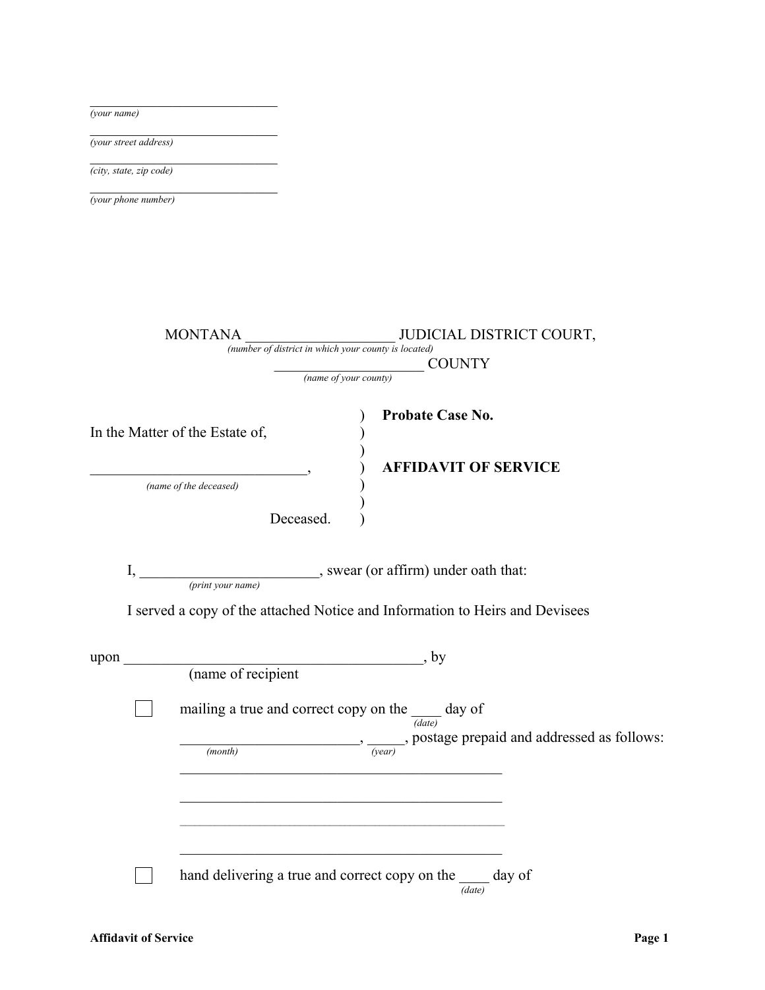| (your name)                                                                    |  |
|--------------------------------------------------------------------------------|--|
| (your street address)                                                          |  |
| (city, state, zip code)                                                        |  |
| (your phone number)                                                            |  |
|                                                                                |  |
|                                                                                |  |
|                                                                                |  |
|                                                                                |  |
| JUDICIAL DISTRICT COURT,<br><b>MONTANA</b>                                     |  |
| (number of district in which your county is located)<br><b>COUNTY</b>          |  |
| (name of your county)                                                          |  |
| <b>Probate Case No.</b>                                                        |  |
| In the Matter of the Estate of,                                                |  |
| <b>AFFIDAVIT OF SERVICE</b>                                                    |  |
| (name of the deceased)                                                         |  |
| Deceased.                                                                      |  |
|                                                                                |  |
| __, swear (or affirm) under oath that:<br>I,                                   |  |
| (print your name)                                                              |  |
| I served a copy of the attached Notice and Information to Heirs and Devisees   |  |
| , by<br>upon                                                                   |  |
| (name of recipient                                                             |  |
|                                                                                |  |
| mailing a true and correct copy on the $\frac{d}{(date)}$ day of               |  |
| $\frac{1}{\sqrt{year}}$ , postage prepaid and addressed as follows:<br>(month) |  |
|                                                                                |  |
|                                                                                |  |
|                                                                                |  |
|                                                                                |  |
| hand delivering a true and correct copy on the ____ day of<br>(data)           |  |